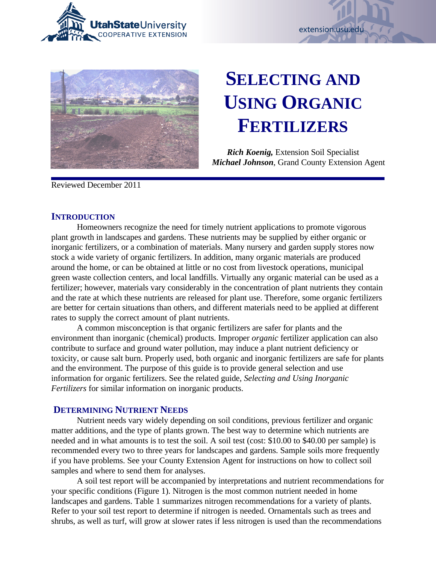





# **SELECTING AND USING ORGANIC FERTILIZERS**

*Rich Koenig,* Extension Soil Specialist *Michael Johnson*, Grand County Extension Agent

Reviewed December 2011

## **INTRODUCTION**

Homeowners recognize the need for timely nutrient applications to promote vigorous plant growth in landscapes and gardens. These nutrients may be supplied by either organic or inorganic fertilizers, or a combination of materials. Many nursery and garden supply stores now stock a wide variety of organic fertilizers. In addition, many organic materials are produced around the home, or can be obtained at little or no cost from livestock operations, municipal green waste collection centers, and local landfills. Virtually any organic material can be used as a fertilizer; however, materials vary considerably in the concentration of plant nutrients they contain and the rate at which these nutrients are released for plant use. Therefore, some organic fertilizers are better for certain situations than others, and different materials need to be applied at different rates to supply the correct amount of plant nutrients.

A common misconception is that organic fertilizers are safer for plants and the environment than inorganic (chemical) products. Improper *organic* fertilizer application can also contribute to surface and ground water pollution, may induce a plant nutrient deficiency or toxicity, or cause salt burn. Properly used, both organic and inorganic fertilizers are safe for plants and the environment. The purpose of this guide is to provide general selection and use information for organic fertilizers. See the related guide, *Selecting and Using Inorganic Fertilizers* for similar information on inorganic products.

# **DETERMINING NUTRIENT NEEDS**

Nutrient needs vary widely depending on soil conditions, previous fertilizer and organic matter additions, and the type of plants grown. The best way to determine which nutrients are needed and in what amounts is to test the soil. A soil test (cost: \$10.00 to \$40.00 per sample) is recommended every two to three years for landscapes and gardens. Sample soils more frequently if you have problems. See your County Extension Agent for instructions on how to collect soil samples and where to send them for analyses.

A soil test report will be accompanied by interpretations and nutrient recommendations for your specific conditions (Figure 1). Nitrogen is the most common nutrient needed in home landscapes and gardens. Table 1 summarizes nitrogen recommendations for a variety of plants. Refer to your soil test report to determine if nitrogen is needed. Ornamentals such as trees and shrubs, as well as turf, will grow at slower rates if less nitrogen is used than the recommendations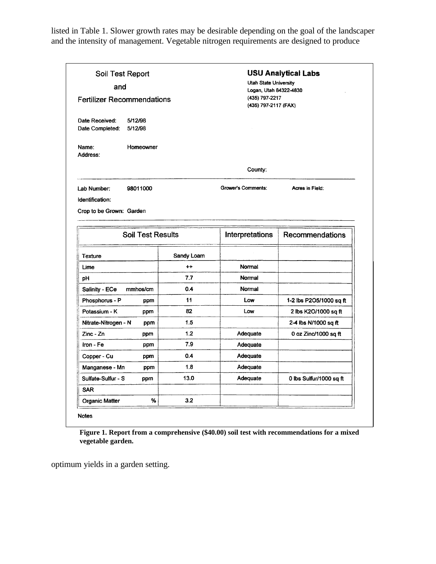listed in Table 1. Slower growth rates may be desirable depending on the goal of the landscaper and the intensity of management. Vegetable nitrogen requirements are designed to produce

| Soil Test Report<br>and                                 |            | <b>USU Analytical Labs</b><br><b>Utah State University</b><br>Logan, Utah 84322-4830<br>(435) 797-2217<br>(435) 797-2117 (FAX) |                         |  |
|---------------------------------------------------------|------------|--------------------------------------------------------------------------------------------------------------------------------|-------------------------|--|
| <b>Fertilizer Recommendations</b>                       |            |                                                                                                                                |                         |  |
| Date Received:<br>5/12/98<br>5/12/98<br>Date Completed: |            |                                                                                                                                |                         |  |
| Name:<br>Homeowner<br>Address:                          |            |                                                                                                                                |                         |  |
|                                                         |            | County:                                                                                                                        |                         |  |
| 98011000<br>Lab Number:                                 |            | Grower's Comments:                                                                                                             | Acres in Field:         |  |
| Identification:                                         |            |                                                                                                                                |                         |  |
| Crop to be Grown: Garden                                |            |                                                                                                                                |                         |  |
|                                                         |            |                                                                                                                                |                         |  |
| <b>Soil Test Results</b>                                |            | Interpretations                                                                                                                | Recommendations         |  |
|                                                         | Sandy Loam |                                                                                                                                |                         |  |
| Texture                                                 |            |                                                                                                                                |                         |  |
| Lime                                                    | $++$       | Normal                                                                                                                         |                         |  |
| pH                                                      | 7.7        | Normal                                                                                                                         |                         |  |
| Salinity - ECe<br>mmhos/cm                              | 0.4        | Normal                                                                                                                         |                         |  |
| Phosphorus - P<br>ppm                                   | 11         | Low                                                                                                                            | 1-2 lbs P2O5/1000 sq ft |  |
| Potassium - K<br>ppm                                    | 82         | Low                                                                                                                            | 2 lbs K2O/1000 sq ft    |  |
| Nitrate-Nitrogen - N<br>ppm                             | 1.5        |                                                                                                                                | 2-4 lbs N/1000 sq ft    |  |
| $Zinc - Zn$<br>ppm                                      | 1.2        | Adequate                                                                                                                       | 0 oz Zinc/1000 sq ft    |  |
| Iron - Fe<br>ppm                                        | 7.9        | Adequate                                                                                                                       |                         |  |
| Copper - Cu<br>ppm                                      | 0.4        | Adequate                                                                                                                       |                         |  |
| Manganese - Mn<br>ppm                                   | 1.8        | Adequate                                                                                                                       |                         |  |
| Sulfate-Sulfur - S<br>ppm                               | 13.0       | Adequate                                                                                                                       | 0 lbs Sulfur/1000 sq ft |  |
| <b>SAR</b>                                              |            |                                                                                                                                |                         |  |

**Figure 1. Report from a comprehensive (\$40.00) soil test with recommendations for a mixed vegetable garden.**

optimum yields in a garden setting.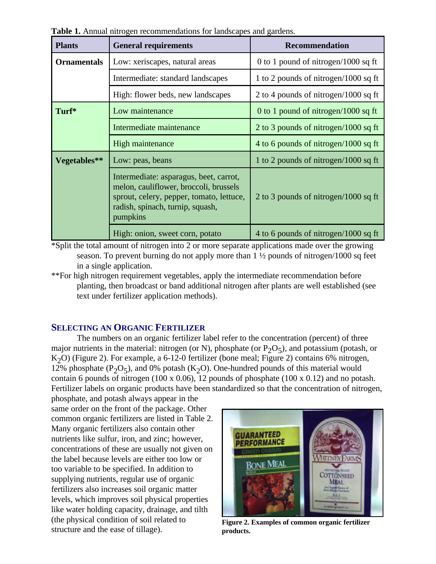| <b>Plants</b>      | <b>General requirements</b>                                                                                                                                                  | <b>Recommendation</b>                |  |
|--------------------|------------------------------------------------------------------------------------------------------------------------------------------------------------------------------|--------------------------------------|--|
| <b>Ornamentals</b> | Low: xeriscapes, natural areas                                                                                                                                               | 0 to 1 pound of nitrogen/1000 sq ft  |  |
|                    | Intermediate: standard landscapes                                                                                                                                            | 1 to 2 pounds of nitrogen/1000 sq ft |  |
|                    | High: flower beds, new landscapes                                                                                                                                            | 2 to 4 pounds of nitrogen/1000 sq ft |  |
| Turf*              | Low maintenance                                                                                                                                                              | 0 to 1 pound of nitrogen/1000 sq ft  |  |
|                    | Intermediate maintenance                                                                                                                                                     | 2 to 3 pounds of nitrogen/1000 sq ft |  |
|                    | High maintenance                                                                                                                                                             | 4 to 6 pounds of nitrogen/1000 sq ft |  |
| Vegetables**       | Low: peas, beans                                                                                                                                                             | 1 to 2 pounds of nitrogen/1000 sq ft |  |
|                    | Intermediate: asparagus, beet, carrot,<br>melon, cauliflower, broccoli, brussels<br>sprout, celery, pepper, tomato, lettuce,<br>radish, spinach, turnip, squash,<br>pumpkins | 2 to 3 pounds of nitrogen/1000 sq ft |  |
|                    | High: onion, sweet corn, potato                                                                                                                                              | 4 to 6 pounds of nitrogen/1000 sq ft |  |

**Table 1.** Annual nitrogen recommendations for landscapes and gardens.

\*Split the total amount of nitrogen into 2 or more separate applications made over the growing season. To prevent burning do not apply more than 1 ½ pounds of nitrogen/1000 sq feet in a single application.

\*\*For high nitrogen requirement vegetables, apply the intermediate recommendation before planting, then broadcast or band additional nitrogen after plants are well established (see text under fertilizer application methods).

## **SELECTING AN ORGANIC FERTILIZER**

The numbers on an organic fertilizer label refer to the concentration (percent) of three major nutrients in the material: nitrogen (or N), phosphate (or  $P_2O_5$ ), and potassium (potash, or K<sub>2</sub>O) (Figure 2). For example, a 6-12-0 fertilizer (bone meal; Figure 2) contains 6% nitrogen, 12% phosphate ( $P_2O_5$ ), and 0% potash ( $K_2O$ ). One-hundred pounds of this material would contain 6 pounds of nitrogen (100 x 0.06), 12 pounds of phosphate (100 x 0.12) and no potash. Fertilizer labels on organic products have been standardized so that the concentration of nitrogen,

phosphate, and potash always appear in the same order on the front of the package. Other common organic fertilizers are listed in Table 2. Many organic fertilizers also contain other nutrients like sulfur, iron, and zinc; however, concentrations of these are usually not given on the label because levels are either too low or too variable to be specified. In addition to supplying nutrients, regular use of organic fertilizers also increases soil organic matter levels, which improves soil physical properties like water holding capacity, drainage, and tilth (the physical condition of soil related to structure and the ease of tillage).



**Figure 2. Examples of common organic fertilizer products.**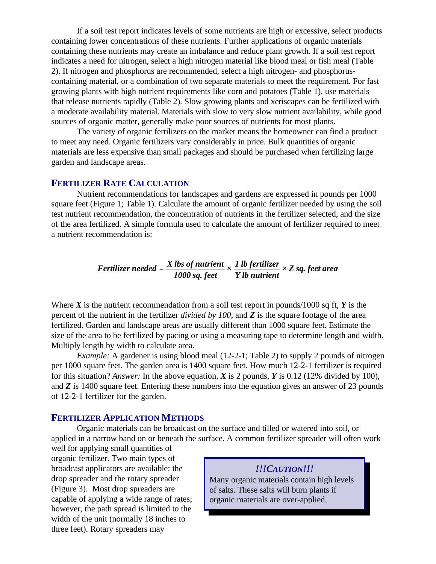If a soil test report indicates levels of some nutrients are high or excessive, select products containing lower concentrations of these nutrients. Further applications of organic materials containing these nutrients may create an imbalance and reduce plant growth. If a soil test report indicates a need for nitrogen, select a high nitrogen material like blood meal or fish meal (Table 2). If nitrogen and phosphorus are recommended, select a high nitrogen- and phosphoruscontaining material, or a combination of two separate materials to meet the requirement. For fast growing plants with high nutrient requirements like corn and potatoes (Table 1), use materials that release nutrients rapidly (Table 2). Slow growing plants and xeriscapes can be fertilized with a moderate availability material. Materials with slow to very slow nutrient availability, while good sources of organic matter, generally make poor sources of nutrients for most plants.

The variety of organic fertilizers on the market means the homeowner can find a product to meet any need. Organic fertilizers vary considerably in price. Bulk quantities of organic materials are less expensive than small packages and should be purchased when fertilizing large garden and landscape areas.

## **FERTILIZER RATE CALCULATION**

Nutrient recommendations for landscapes and gardens are expressed in pounds per 1000 square feet (Figure 1; Table 1). Calculate the amount of organic fertilizer needed by using the soil test nutrient recommendation, the concentration of nutrients in the fertilizer selected, and the size of the area fertilized. A simple formula used to calculate the amount of fertilizer required to meet a nutrient recommendation is:

> *Fertilizer needed ' X lbs of nutrient 1000 sq. feet × 1 lb fertilizer Y lb nutrient × Z sq. feet area*

Where  $\boldsymbol{X}$  is the nutrient recommendation from a soil test report in pounds/1000 sq ft,  $\boldsymbol{Y}$  is the percent of the nutrient in the fertilizer *divided by 100*, and *Z* is the square footage of the area fertilized. Garden and landscape areas are usually different than 1000 square feet. Estimate the size of the area to be fertilized by pacing or using a measuring tape to determine length and width. Multiply length by width to calculate area.

*Example:* A gardener is using blood meal (12-2-1; Table 2) to supply 2 pounds of nitrogen per 1000 square feet. The garden area is 1400 square feet. How much 12-2-1 fertilizer is required for this situation? *Answer:* In the above equation, *X* is 2 pounds, *Y* is 0.12 (12% divided by 100), and *Z* is 1400 square feet. Entering these numbers into the equation gives an answer of 23 pounds of 12-2-1 fertilizer for the garden.

#### **FERTILIZER APPLICATION METHODS**

Organic materials can be broadcast on the surface and tilled or watered into soil, or applied in a narrow band on or beneath the surface. A common fertilizer spreader will often work

well for applying small quantities of organic fertilizer. Two main types of broadcast applicators are available: the drop spreader and the rotary spreader (Figure 3). Most drop spreaders are capable of applying a wide range of rates; however, the path spread is limited to the width of the unit (normally 18 inches to three feet). Rotary spreaders may

#### *!!!CAUTION!!!*

Many organic materials contain high levels of salts. These salts will burn plants if organic materials are over-applied.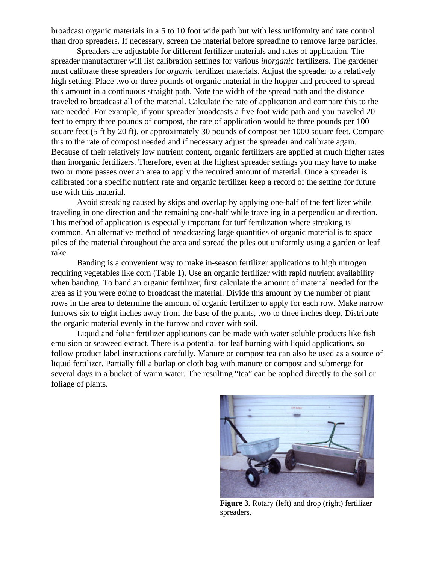broadcast organic materials in a 5 to 10 foot wide path but with less uniformity and rate control than drop spreaders. If necessary, screen the material before spreading to remove large particles.

Spreaders are adjustable for different fertilizer materials and rates of application. The spreader manufacturer will list calibration settings for various *inorganic* fertilizers. The gardener must calibrate these spreaders for *organic* fertilizer materials. Adjust the spreader to a relatively high setting. Place two or three pounds of organic material in the hopper and proceed to spread this amount in a continuous straight path. Note the width of the spread path and the distance traveled to broadcast all of the material. Calculate the rate of application and compare this to the rate needed. For example, if your spreader broadcasts a five foot wide path and you traveled 20 feet to empty three pounds of compost, the rate of application would be three pounds per 100 square feet (5 ft by 20 ft), or approximately 30 pounds of compost per 1000 square feet. Compare this to the rate of compost needed and if necessary adjust the spreader and calibrate again. Because of their relatively low nutrient content, organic fertilizers are applied at much higher rates than inorganic fertilizers. Therefore, even at the highest spreader settings you may have to make two or more passes over an area to apply the required amount of material. Once a spreader is calibrated for a specific nutrient rate and organic fertilizer keep a record of the setting for future use with this material.

Avoid streaking caused by skips and overlap by applying one-half of the fertilizer while traveling in one direction and the remaining one-half while traveling in a perpendicular direction. This method of application is especially important for turf fertilization where streaking is common. An alternative method of broadcasting large quantities of organic material is to space piles of the material throughout the area and spread the piles out uniformly using a garden or leaf rake.

Banding is a convenient way to make in-season fertilizer applications to high nitrogen requiring vegetables like corn (Table 1). Use an organic fertilizer with rapid nutrient availability when banding. To band an organic fertilizer, first calculate the amount of material needed for the area as if you were going to broadcast the material. Divide this amount by the number of plant rows in the area to determine the amount of organic fertilizer to apply for each row. Make narrow furrows six to eight inches away from the base of the plants, two to three inches deep. Distribute the organic material evenly in the furrow and cover with soil.

Liquid and foliar fertilizer applications can be made with water soluble products like fish emulsion or seaweed extract. There is a potential for leaf burning with liquid applications, so follow product label instructions carefully. Manure or compost tea can also be used as a source of liquid fertilizer. Partially fill a burlap or cloth bag with manure or compost and submerge for several days in a bucket of warm water. The resulting "tea" can be applied directly to the soil or foliage of plants.



**Figure 3.** Rotary (left) and drop (right) fertilizer spreaders.